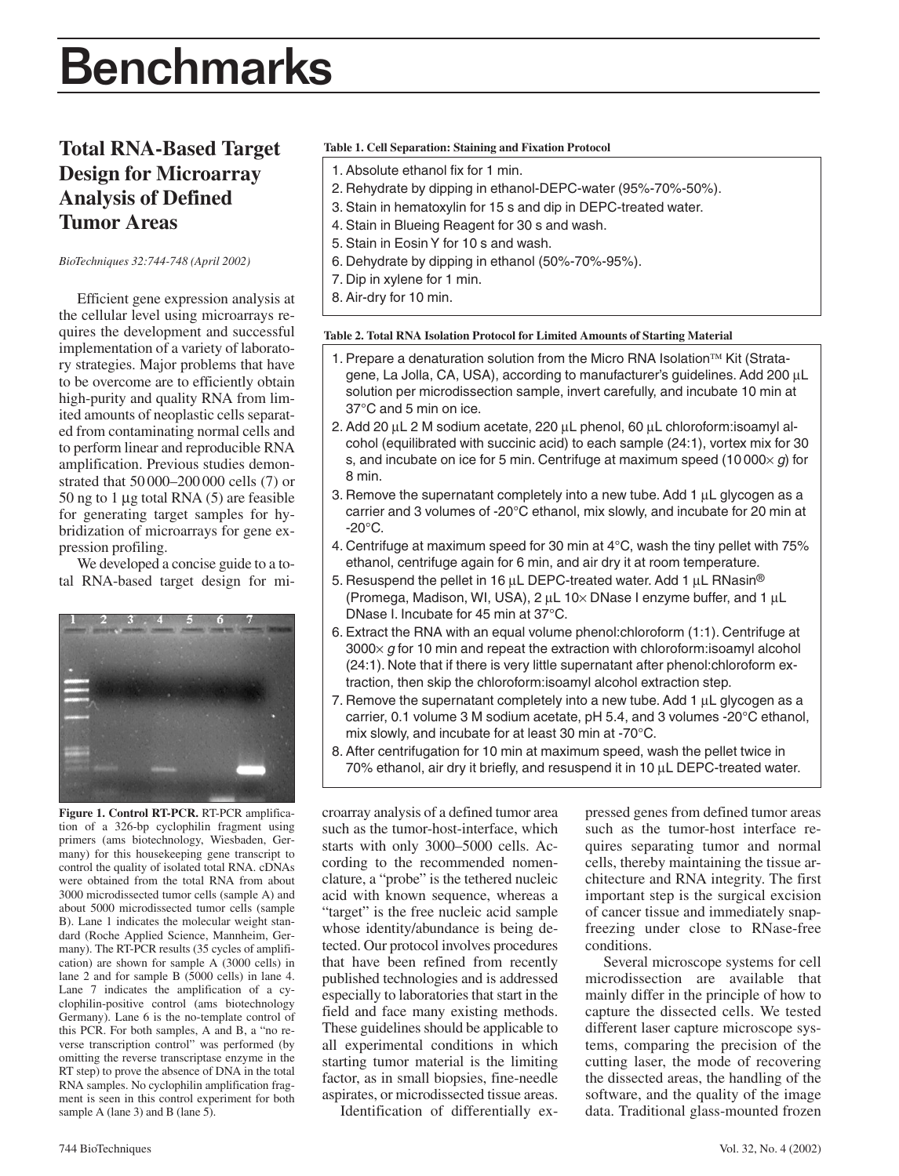# Benchmarks

# **Total RNA-Based Target Design for Microarray Analysis of Defined Tumor Areas**

*BioTechniques 32:744-748 (April 2002)*

Efficient gene expression analysis at the cellular level using microarrays requires the development and successful implementation of a variety of laboratory strategies. Major problems that have to be overcome are to efficiently obtain high-purity and quality RNA from limited amounts of neoplastic cells separated from contaminating normal cells and to perform linear and reproducible RNA amplification. Previous studies demonstrated that 50 000–200 000 cells (7) or 50 ng to 1 µg total RNA (5) are feasible for generating target samples for hybridization of microarrays for gene expression profiling.

We developed a concise guide to a total RNA-based target design for mi-



**Figure 1. Control RT-PCR.** RT-PCR amplification of a 326-bp cyclophilin fragment using primers (ams biotechnology, Wiesbaden, Germany) for this housekeeping gene transcript to control the quality of isolated total RNA. cDNAs were obtained from the total RNA from about 3000 microdissected tumor cells (sample A) and about 5000 microdissected tumor cells (sample B). Lane 1 indicates the molecular weight standard (Roche Applied Science, Mannheim, Germany). The RT-PCR results (35 cycles of amplification) are shown for sample A (3000 cells) in lane 2 and for sample B (5000 cells) in lane 4. Lane 7 indicates the amplification of a cyclophilin-positive control (ams biotechnology Germany). Lane 6 is the no-template control of this PCR. For both samples, A and B, a "no reverse transcription control" was performed (by omitting the reverse transcriptase enzyme in the RT step) to prove the absence of DNA in the total RNA samples. No cyclophilin amplification fragment is seen in this control experiment for both sample A (lane 3) and B (lane 5).

### **Table 1. Cell Separation: Staining and Fixation Protocol**

- 1. Absolute ethanol fix for 1 min.
- 2. Rehydrate by dipping in ethanol-DEPC-water (95%-70%-50%).
- 3. Stain in hematoxylin for 15 s and dip in DEPC-treated water.
- 4. Stain in Blueing Reagent for 30 s and wash.
- 5. Stain in Eosin Y for 10 s and wash.
- 6. Dehydrate by dipping in ethanol (50%-70%-95%).
- 7. Dip in xylene for 1 min.
- 8. Air-dry for 10 min.

#### **Table 2. Total RNA Isolation Protocol for Limited Amounts of Starting Material**

- 1. Prepare a denaturation solution from the Micro RNA Isolation $TM$  Kit (Stratagene, La Jolla, CA, USA), according to manufacturer's guidelines. Add 200 µL solution per microdissection sample, invert carefully, and incubate 10 min at 37°C and 5 min on ice.
- 2. Add 20 µL 2 M sodium acetate, 220 µL phenol, 60 µL chloroform:isoamyl alcohol (equilibrated with succinic acid) to each sample (24:1), vortex mix for 30 s, and incubate on ice for 5 min. Centrifuge at maximum speed (10 000× *g*) for 8 min.
- 3. Remove the supernatant completely into a new tube. Add  $1 \mu L$  glycogen as a carrier and 3 volumes of -20°C ethanol, mix slowly, and incubate for 20 min at  $-20^{\circ}$ C.
- 4. Centrifuge at maximum speed for 30 min at 4°C, wash the tiny pellet with 75% ethanol, centrifuge again for 6 min, and air dry it at room temperature.
- 5. Resuspend the pellet in 16  $\mu$ L DEPC-treated water. Add 1  $\mu$ L RNasin® (Promega, Madison, WI, USA),  $2 \mu L$  10× DNase I enzyme buffer, and 1  $\mu L$ DNase I. Incubate for 45 min at 37°C.
- 6. Extract the RNA with an equal volume phenol:chloroform (1:1). Centrifuge at 3000× *g* for 10 min and repeat the extraction with chloroform:isoamyl alcohol (24:1). Note that if there is very little supernatant after phenol:chloroform extraction, then skip the chloroform:isoamyl alcohol extraction step.
- 7. Remove the supernatant completely into a new tube. Add  $1 \mu L$  glycogen as a carrier, 0.1 volume 3 M sodium acetate, pH 5.4, and 3 volumes -20°C ethanol, mix slowly, and incubate for at least 30 min at -70°C.
- 8. After centrifugation for 10 min at maximum speed, wash the pellet twice in 70% ethanol, air dry it briefly, and resuspend it in 10 µL DEPC-treated water.

croarray analysis of a defined tumor area such as the tumor-host-interface, which starts with only 3000–5000 cells. According to the recommended nomenclature, a "probe" is the tethered nucleic acid with known sequence, whereas a "target" is the free nucleic acid sample whose identity/abundance is being detected. Our protocol involves procedures that have been refined from recently published technologies and is addressed especially to laboratories that start in the field and face many existing methods. These guidelines should be applicable to all experimental conditions in which starting tumor material is the limiting factor, as in small biopsies, fine-needle aspirates, or microdissected tissue areas.

Identification of differentially ex-

pressed genes from defined tumor areas such as the tumor-host interface requires separating tumor and normal cells, thereby maintaining the tissue architecture and RNA integrity. The first important step is the surgical excision of cancer tissue and immediately snapfreezing under close to RNase-free conditions.

Several microscope systems for cell microdissection are available that mainly differ in the principle of how to capture the dissected cells. We tested different laser capture microscope systems, comparing the precision of the cutting laser, the mode of recovering the dissected areas, the handling of the software, and the quality of the image data. Traditional glass-mounted frozen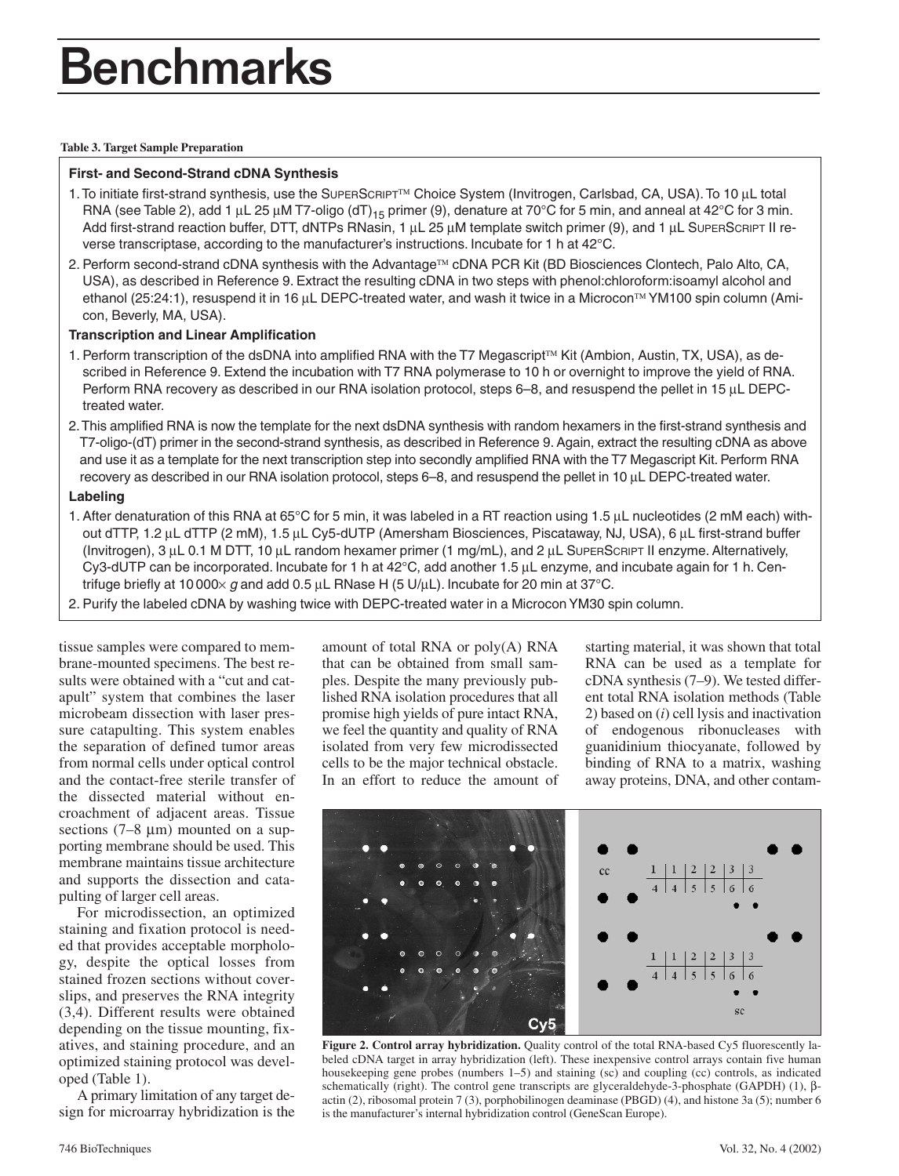# Benchmarks

#### **Table 3. Target Sample Preparation**

## **First- and Second-Strand cDNA Synthesis**

- 1. To initiate first-strand synthesis, use the SUPERSCRIPT™ Choice System (Invitrogen, Carlsbad, CA, USA). To 10 µL total RNA (see Table 2), add 1 µL 25 µM T7-oligo (dT)<sub>15</sub> primer (9), denature at 70°C for 5 min, and anneal at 42°C for 3 min. Add first-strand reaction buffer, DTT, dNTPs RNasin, 1  $\mu$ L 25  $\mu$ M template switch primer (9), and 1  $\mu$ L SUPERSCRIPT II reverse transcriptase, according to the manufacturer's instructions. Incubate for 1 h at 42°C.
- 2. Perform second-strand cDNA synthesis with the Advantage<sup>™</sup> cDNA PCR Kit (BD Biosciences Clontech, Palo Alto, CA, USA), as described in Reference 9. Extract the resulting cDNA in two steps with phenol:chloroform:isoamyl alcohol and ethanol (25:24:1), resuspend it in 16 µL DEPC-treated water, and wash it twice in a Microcon™ YM100 spin column (Amicon, Beverly, MA, USA).

## **Transcription and Linear Amplification**

- 1. Perform transcription of the dsDNA into amplified RNA with the T7 Megascript<sup>™</sup> Kit (Ambion, Austin, TX, USA), as described in Reference 9. Extend the incubation with T7 RNA polymerase to 10 h or overnight to improve the yield of RNA. Perform RNA recovery as described in our RNA isolation protocol, steps 6–8, and resuspend the pellet in 15 µL DEPCtreated water.
- 2.This amplified RNA is now the template for the next dsDNA synthesis with random hexamers in the first-strand synthesis and T7-oligo-(dT) primer in the second-strand synthesis, as described in Reference 9. Again, extract the resulting cDNA as above and use it as a template for the next transcription step into secondly amplified RNA with the T7 Megascript Kit. Perform RNA recovery as described in our RNA isolation protocol, steps 6–8, and resuspend the pellet in 10 µL DEPC-treated water.

## **Labeling**

- 1. After denaturation of this RNA at 65°C for 5 min, it was labeled in a RT reaction using 1.5 µL nucleotides (2 mM each) without dTTP, 1.2 µL dTTP (2 mM), 1.5 µL Cy5-dUTP (Amersham Biosciences, Piscataway, NJ, USA), 6 µL first-strand buffer (Invitrogen), 3 µL 0.1 M DTT, 10 µL random hexamer primer (1 mg/mL), and 2 µL SUPERSCRIPT II enzyme. Alternatively, Cy3-dUTP can be incorporated. Incubate for 1 h at 42°C, add another 1.5 µL enzyme, and incubate again for 1 h. Centrifuge briefly at 10 000× *g* and add 0.5 µL RNase H (5 U/µL). Incubate for 20 min at 37°C.
- 2. Purify the labeled cDNA by washing twice with DEPC-treated water in a Microcon YM30 spin column.

tissue samples were compared to membrane-mounted specimens. The best results were obtained with a "cut and catapult" system that combines the laser microbeam dissection with laser pressure catapulting. This system enables the separation of defined tumor areas from normal cells under optical control and the contact-free sterile transfer of the dissected material without encroachment of adjacent areas. Tissue sections  $(7-8 \mu m)$  mounted on a supporting membrane should be used. This membrane maintains tissue architecture and supports the dissection and catapulting of larger cell areas.

For microdissection, an optimized staining and fixation protocol is needed that provides acceptable morphology, despite the optical losses from stained frozen sections without coverslips, and preserves the RNA integrity (3,4). Different results were obtained depending on the tissue mounting, fixatives, and staining procedure, and an optimized staining protocol was developed (Table 1).

A primary limitation of any target design for microarray hybridization is the

amount of total RNA or poly(A) RNA that can be obtained from small samples. Despite the many previously published RNA isolation procedures that all promise high yields of pure intact RNA, we feel the quantity and quality of RNA isolated from very few microdissected cells to be the major technical obstacle. In an effort to reduce the amount of starting material, it was shown that total RNA can be used as a template for cDNA synthesis (7–9). We tested different total RNA isolation methods (Table 2) based on (*i*) cell lysis and inactivation of endogenous ribonucleases with guanidinium thiocyanate, followed by binding of RNA to a matrix, washing away proteins, DNA, and other contam-



**Figure 2. Control array hybridization.** Quality control of the total RNA-based Cy5 fluorescently labeled cDNA target in array hybridization (left). These inexpensive control arrays contain five human housekeeping gene probes (numbers 1–5) and staining (sc) and coupling (cc) controls, as indicated schematically (right). The control gene transcripts are glyceraldehyde-3-phosphate (GAPDH) (1), βactin (2), ribosomal protein 7 (3), porphobilinogen deaminase (PBGD) (4), and histone 3a (5); number 6 is the manufacturer's internal hybridization control (GeneScan Europe).